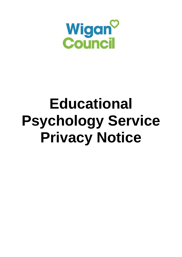

# **Educational Psychology Service Privacy Notice**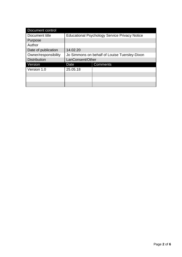| Document control     |                                                      |                 |
|----------------------|------------------------------------------------------|-----------------|
| Document title       | <b>Educational Psychology Service Privacy Notice</b> |                 |
| Purpose              |                                                      |                 |
| Author               |                                                      |                 |
| Date of publication  | 14.02.20                                             |                 |
| Owner/responsibility | Jo Simmons on behalf of Louise Tuersley-Dixon        |                 |
| <b>Distribution</b>  | LanConsent/Other                                     |                 |
| Version              | Date                                                 | <b>Comments</b> |
| Version 1.0          | 25.05.18                                             |                 |
|                      |                                                      |                 |
|                      |                                                      |                 |
|                      |                                                      |                 |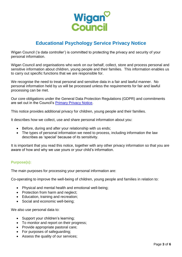

# **Educational Psychology Service Privacy Notice**

Wigan Council ('a data controller') is committed to protecting the privacy and security of your personal information.

Wigan Council and organisations who work on our behalf, collect, store and process personal and sensitive information about children, young people and their families. This information enables us to carry out specific functions that we are responsible for.

We recognise the need to treat personal and sensitive data in a fair and lawful manner. No personal information held by us will be processed unless the requirements for fair and lawful processing can be met.

Our core obligations under the General Data Protection Regulations (GDPR) and commitments are set out in the Council's [Primary Privacy Notice.](https://www.wigan.gov.uk/privacynotices)

This notice provides additional privacy for children, young people and their families.

It describes how we collect, use and share personal information about you:

- Before, during and after your relationship with us ends;
- The types of personal information we need to process, including information the law describes as 'special' because of its sensitivity.

It is important that you read this notice, together with any other privacy information so that you are aware of how and why we use yours or your child's information.

### **Purpose(s):**

The main purposes for processing your personal information are:

Co-operating to improve the well-being of children, young people and families in relation to:

- Physical and mental health and emotional well-being;
- Protection from harm and neglect:
- Education, training and recreation:
- Social and economic well-being;

We also use personal data to:

- Support your children's learning;
- To monitor and report on their progress;
- Provide appropriate pastoral care;
- For purposes of safeguarding;
- Assess the quality of our services;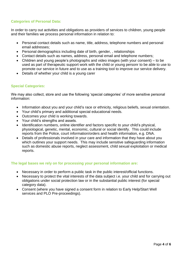# **Categories of Personal Data:**

In order to carry out activities and obligations as providers of services to children, young people and their families we process personal information in relation to:

- Personal contact details such as name, title, address, telephone numbers and personal email addresses;
- Personal demographics including date of birth, gender, , relationships
- Contact details such as names, address, personal email and telephone numbers;
- Children and young people's photographs and video images (with your consent) to be used as part of therapeutic support work with the child or young personr to be able to use to promote our service in future and to use as a training tool to improve our service delivery.
- Details of whether your child is a young carer

# **Special Categories:**

We may also collect, store and use the following 'special categories' of more sensitive personal information:

- Information about you and your child's race or ethnicity, religious beliefs, sexual orientation.
- Your child's primary and additional special educational needs.
- Outcomes your child is working towards.
- Your child's strengths and assets.
- Identification numbers, online identifier and factors specific to your child's physical, physiological, genetic, mental, economic, cultural or social identify. This could include reports from the Police, court information/orders and health information, e.g. DNA.
- Details of professionals involved in your care and information that they have about you which outlines your support needs. This may include sensitive safeguarding information such as domestic abuse reports, neglect assessment, child sexual exploitation or medical reports.

# **The legal bases we rely on for processing your personal information are:**

- Necessary in order to perform a public task in the public interest/official functions.
- Necessary to protect the vital interests of the data subject i.e. your child and for carrying out obligations under social protection law or in the substantial public interest (for special category data).
- Consent (where you have signed a consent form in relation to Early Help/Start Well services and PLO Pre-proceedings).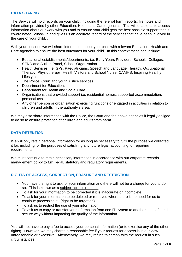# **DATA SHARING**

The Service will hold records on your child, including the referral form, reports, file notes and information provided by other Education, Health and Care agencies. This will enable us to access information about our work with you and to ensure your child gets the best possible support that is co-ordinated, joined-up and gives us an accurate record of the services that have been involved in the care of your child. .

With your consent, we will share information about your child with relevant Education, Health and Care agencies to ensure the best outcomes for your child. In this context these can include:

- Educational establishments/departments, i.e. Early Years Providers, Schools, Colleges, SEND and Autism Panel, School Organisation.
- Health Services, i.e. GPs, Paediatricians, Speech and Language Therapy, Occupational Therapy, Physiotherapy, Health Visitors and School Nurse, CAMHS, Inspiring Healthy Lifestyles.
- The Police, Court and youth justice services.
- Department for Education.
- Department for Health and Social Care.
- Organisations that provided support i.e. residential homes, supported accommodation, personal assistants.
- Any other person or organisation exercising functions or engaged in activities in relation to children and adults in the authority's area.

We may also share information with the Police, the Court and the above agencies if legally obliged to do so to ensure protection of children and adults from harm

# **DATA RETENTION**

We will only retain personal information for as long as necessary to fulfil the purpose we collected it for, including for the purposes of satisfying any future legal, accounting, or reporting requirements.

We must continue to retain necessary information in accordance with our corporate records management policy to fulfil legal, statutory and regulatory requirements.

# **RIGHTS OF ACCESS, CORRECTION, ERASURE AND RESTRICTION**

- You have the right to ask for your information and there will not be a charge for you to do so. This is known as a subject access request.
- To ask for your information to be corrected if it is inaccurate or incomplete.
- To ask for your information to be deleted or removed where there is no need for us to continue processing it. (right to be forgotten)
- To ask us to restrict the use of your information.
- To ask us to copy or transfer your information from one IT system to another in a safe and secure way without impacting the quality of the information.

You will not have to pay a fee to access your personal information (or to exercise any of the other rights). However, we may charge a reasonable fee if your request for access is in our view unreasonable or excessive. Alternatively, we may refuse to comply with the request in such circumstances.